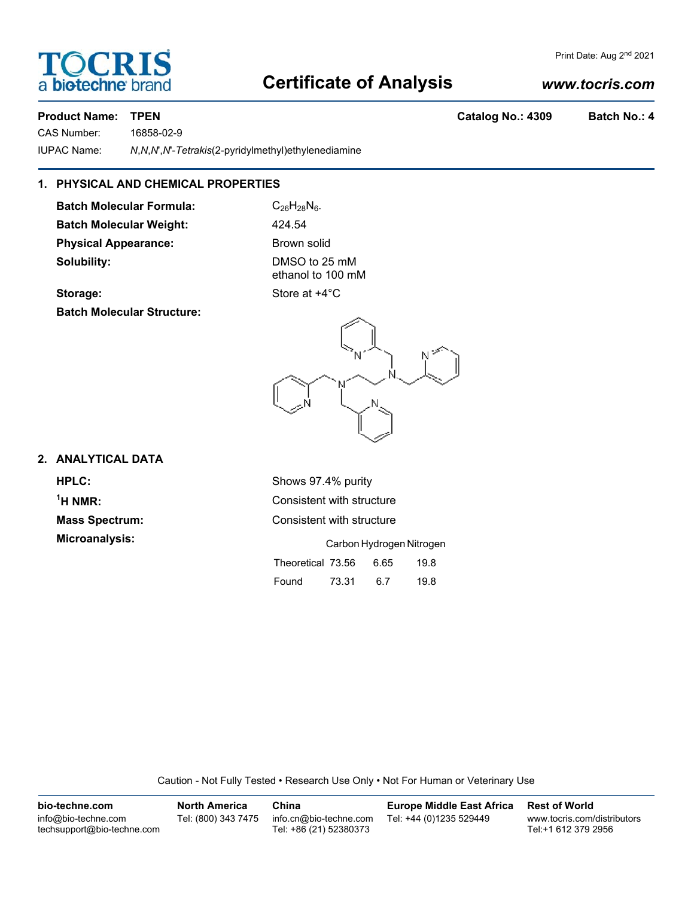## **Certificate of Analysis**

#### *www.tocris.com*

#### **Product Name: STPEN Catalog No.: 4309 Batch No.: 4**

a biotechne b

**TOCRIS** 

CAS Number: 16858-02-9 IUPAC Name: *N*,*N*,*N*',*N*'-*Tetrakis*(2-pyridylmethyl)ethylenediamine

#### **1. PHYSICAL AND CHEMICAL PROPERTIES**

**Batch Molecular Formula:** C<sub>26</sub>H<sub>28</sub>N<sub>6</sub>. **Batch Molecular Weight:** 424.54 **Physical Appearance:** Brown solid **Solubility:** DMSO to 25 mM

ethanol to 100 mM **Storage:** Store at  $+4^{\circ}$ C

**Batch Molecular Structure:**



#### **2. ANALYTICAL DATA**

 $<sup>1</sup>H NMR$ :</sup>

**HPLC:** Shows 97.4% purity **Consistent with structure Mass Spectrum:** Consistent with structure **Microanalysis:** Carbon Hydrogen Nitrogen

| Theoretical 73.56 |       | 6.65 | 19.8 |
|-------------------|-------|------|------|
| Found             | 73.31 | 6.7  | 19.8 |

Caution - Not Fully Tested • Research Use Only • Not For Human or Veterinary Use

| bio-techne.com                                    | <b>North America</b> | China                                            | <b>Europe Middle East Africa</b> | <b>Rest of World</b>                               |
|---------------------------------------------------|----------------------|--------------------------------------------------|----------------------------------|----------------------------------------------------|
| info@bio-techne.com<br>techsupport@bio-techne.com | Tel: (800) 343 7475  | info.cn@bio-techne.com<br>Tel: +86 (21) 52380373 | Tel: +44 (0)1235 529449          | www.tocris.com/distributors<br>Tel:+1 612 379 2956 |

Print Date: Aug 2<sup>nd</sup> 2021